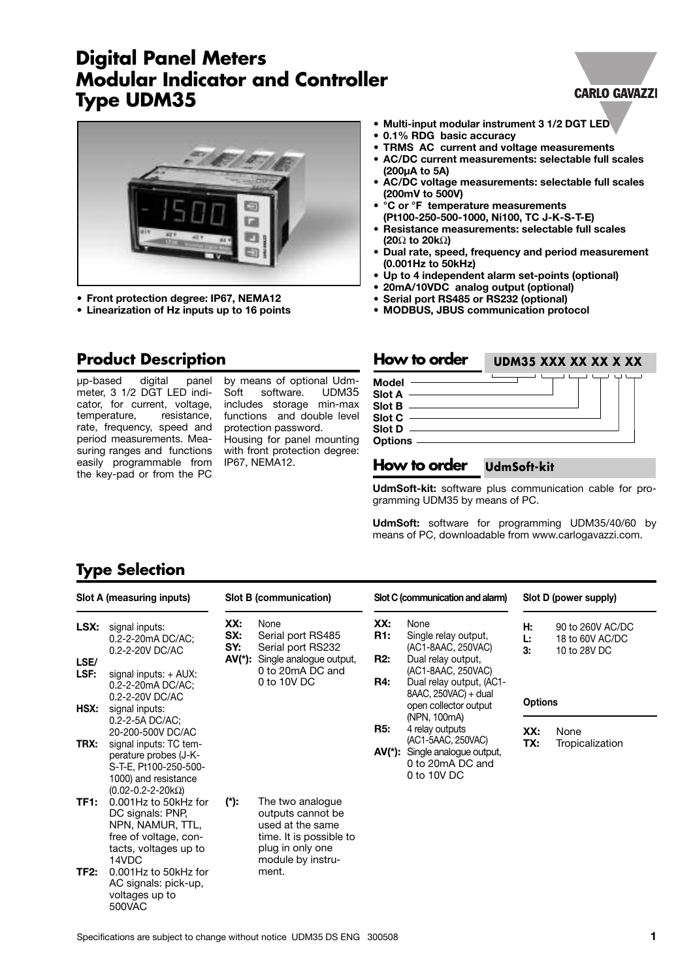# **Digital Panel Meters Modular Indicator and Controller Type UDM35**



**• Front protection degree: IP67, NEMA12**

**• Linearization of Hz inputs up to 16 points**

### **Product Description**

µp-based digital panel meter, 3 1/2 DGT LED indicator, for current, voltage, temperature, resistance, rate, frequency, speed and period measurements. Measuring ranges and functions easily programmable from the key-pad or from the PC

by means of optional Udm-<br>Soft software. UDM35 software. includes storage min-max functions and double level protection password. Housing for panel mounting with front protection degree: IP67, NEMA12.

#### **• Multi-input modular instrument 3 1/2 DGT LED**

- **0.1% RDG basic accuracy**
- **TRMS AC current and voltage measurements**
- **AC/DC current measurements: selectable full scales (200µA to 5A)**
- **• AC/DC voltage measurements: selectable full scales (200mV to 500V)**
- **°C or °F temperature measurements (Pt100-250-500-1000, Ni100, TC J-K-S-T-E)**
- **Resistance measurements: selectable full scales (20**Ω **to 20k**Ω**)**
- **Dual rate, speed, frequency and period measurement (0.001Hz to 50kHz)**
- **Up to 4 independent alarm set-points (optional)**
- **• 20mA/10VDC analog output (optional)**
- **Serial port RS485 or RS232 (optional)**
- **MODBUS, JBUS communication protocol**

#### **How to order UDM35 XXX XX XX X XX**

**Model Slot A Slot B Slot C Slot D**

#### **Options**

### **How to order UdmSoft-kit**

**UdmSoft-kit:** software plus communication cable for programming UDM35 by means of PC.

**UdmSoft:** software for programming UDM35/40/60 by means of PC, downloadable from www.carlogavazzi.com.

### **Type Selection**

500VAC

| Slot A (measuring inputs)        |                                                                                                                                                                                           |                             | Slot B (communication)                                                                                                                 |                          | Slot C (communication and alarm)                                                                                                                                            |                                  | Slot D (power supply)                               |  |
|----------------------------------|-------------------------------------------------------------------------------------------------------------------------------------------------------------------------------------------|-----------------------------|----------------------------------------------------------------------------------------------------------------------------------------|--------------------------|-----------------------------------------------------------------------------------------------------------------------------------------------------------------------------|----------------------------------|-----------------------------------------------------|--|
| LSX:<br>LSE/<br>LSF:<br>HSX:     | signal inputs:<br>0.2-2-20mA DC/AC;<br>0.2-2-20V DC/AC<br>signal inputs: $+$ AUX:<br>0.2-2-20mA DC/AC;<br>0.2-2-20V DC/AC<br>signal inputs:                                               | XX:<br>SX:<br>SY:<br>AV(*): | None<br>Serial port RS485<br>Serial port RS232<br>Single analogue output,<br>0 to 20mA DC and<br>0 to 10V DC                           | XX:<br>R1:<br>R2:<br>R4: | None<br>Single relay output,<br>(AC1-8AAC, 250VAC)<br>Dual relay output,<br>(AC1-8AAC, 250VAC)<br>Dual relay output, (AC1-<br>8AAC, 250VAC) + dual<br>open collector output | н.<br>Ŀ.<br>3:<br><b>Options</b> | 90 to 260V AC/DC<br>18 to 60V AC/DC<br>10 to 28V DC |  |
| TRX:                             | 0.2-2-5A DC/AC;<br>20-200-500V DC/AC<br>signal inputs: TC tem-<br>perature probes (J-K-<br>S-T-E, Pt100-250-500-<br>1000) and resistance<br>$(0.02 - 0.2 - 2 - 20k\Omega)$                |                             |                                                                                                                                        | <b>R5:</b>               | (NPN, 100mA)<br>4 relay outputs<br>(AC1-5AAC, 250VAC)<br>AV(*): Single analogue output,<br>0 to 20mA DC and<br>0 to 10V DC                                                  | XX:<br>TX:                       | None<br>Tropicalization                             |  |
| TF <sub>1</sub> :<br><b>TF2:</b> | 0.001Hz to 50kHz for<br>DC signals: PNP,<br>NPN, NAMUR, TTL,<br>free of voltage, con-<br>tacts, voltages up to<br>14VDC<br>0.001Hz to 50kHz for<br>AC signals: pick-up,<br>voltages up to | (*):                        | The two analogue<br>outputs cannot be<br>used at the same<br>time. It is possible to<br>plug in only one<br>module by instru-<br>ment. |                          |                                                                                                                                                                             |                                  |                                                     |  |

#### **CARLO GAVAZZI**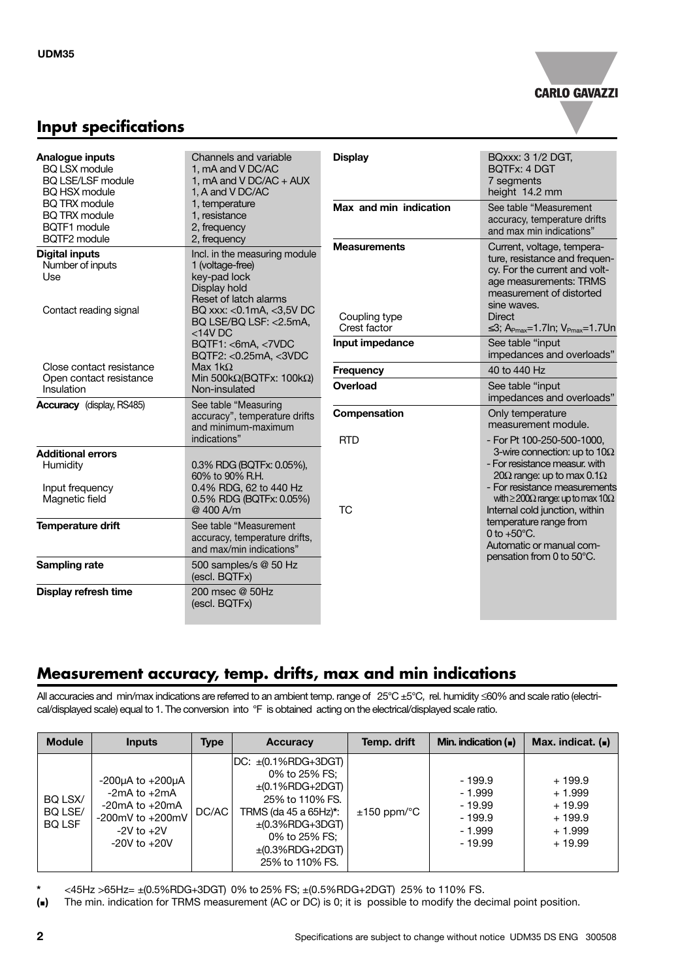

### **Input specifications**

| Analogue inputs                                                           | Channels and variable                                                                                         | <b>Display</b>         | BQxxx: 3 1/2 DGT,                                                                                                                                                                                                                             |
|---------------------------------------------------------------------------|---------------------------------------------------------------------------------------------------------------|------------------------|-----------------------------------------------------------------------------------------------------------------------------------------------------------------------------------------------------------------------------------------------|
| <b>BQ LSX module</b><br><b>BQ LSE/LSF module</b>                          | 1, mA and V DC/AC<br>1, $mA$ and V DC/AC + AUX                                                                |                        | <b>BQTFx: 4 DGT</b><br>7 segments                                                                                                                                                                                                             |
| <b>BQ HSX module</b>                                                      | 1, A and V DC/AC                                                                                              |                        | height 14.2 mm                                                                                                                                                                                                                                |
| <b>BQ TRX module</b>                                                      | 1, temperature                                                                                                | Max and min indication | See table "Measurement                                                                                                                                                                                                                        |
| <b>BQ TRX module</b>                                                      | 1, resistance                                                                                                 |                        | accuracy, temperature drifts                                                                                                                                                                                                                  |
| BQTF1 module<br>BOTF2 module                                              | 2, frequency                                                                                                  |                        | and max min indications"                                                                                                                                                                                                                      |
|                                                                           | 2, frequency                                                                                                  | <b>Measurements</b>    | Current, voltage, tempera-                                                                                                                                                                                                                    |
| <b>Digital inputs</b><br>Number of inputs<br>Use                          | Incl. in the measuring module<br>1 (voltage-free)<br>key-pad lock<br>Display hold<br>Reset of latch alarms    |                        | ture, resistance and frequen-<br>cy. For the current and volt-<br>age measurements: TRMS<br>measurement of distorted<br>sine waves.                                                                                                           |
| Contact reading signal                                                    | BQ xxx: < 0.1 mA, < 3,5 V DC                                                                                  | Coupling type          | <b>Direct</b>                                                                                                                                                                                                                                 |
|                                                                           | BQ LSE/BQ LSF: <2.5mA,                                                                                        | Crest factor           | $\leq$ 3; A <sub>Pmax</sub> =1.7ln; V <sub>Pmax</sub> =1.7Un                                                                                                                                                                                  |
|                                                                           | $<$ 14V DC<br>BQTF1: <6mA, <7VDC<br>BQTF2: <0.25mA, <3VDC                                                     | Input impedance        | See table "input<br>impedances and overloads"                                                                                                                                                                                                 |
| Close contact resistance                                                  | Max 1k $\Omega$                                                                                               | <b>Frequency</b>       | 40 to 440 Hz                                                                                                                                                                                                                                  |
| Open contact resistance<br>Insulation                                     | Min 500kΩ(BQTFx: 100kΩ)<br>Non-insulated                                                                      | Overload               | See table "input<br>impedances and overloads"                                                                                                                                                                                                 |
| <b>Accuracy</b> (display, RS485)                                          | See table "Measuring<br>accuracy", temperature drifts<br>and minimum-maximum                                  | Compensation           | Only temperature<br>measurement module.                                                                                                                                                                                                       |
|                                                                           | indications"                                                                                                  | <b>RTD</b>             | - For Pt 100-250-500-1000.                                                                                                                                                                                                                    |
| <b>Additional errors</b><br>Humidity<br>Input frequency<br>Magnetic field | 0.3% RDG (BQTFx: 0.05%),<br>60% to 90% R.H.<br>0.4% RDG, 62 to 440 Hz<br>0.5% RDG (BQTFx: 0.05%)<br>@ 400 A/m | <b>TC</b>              | 3-wire connection: up to $10\Omega$<br>- For resistance measur, with<br>20 $\Omega$ range: up to max 0.1 $\Omega$<br>- For resistance measurements<br>with $\geq$ 200 $\Omega$ range: up to max 10 $\Omega$<br>Internal cold junction, within |
| <b>Temperature drift</b>                                                  | See table "Measurement<br>accuracy, temperature drifts,<br>and max/min indications"                           |                        | temperature range from<br>0 to $+50^{\circ}$ C.<br>Automatic or manual com-                                                                                                                                                                   |
| Sampling rate                                                             | 500 samples/s @ 50 Hz<br>(escl. BQTFx)                                                                        |                        | pensation from 0 to 50°C.                                                                                                                                                                                                                     |
| Display refresh time                                                      | 200 msec @ 50Hz<br>(escl. BQTFx)                                                                              |                        |                                                                                                                                                                                                                                               |

### **Measurement accuracy, temp. drifts, max and min indications**

All accuracies and min/max indications are referred to an ambient temp. range of 25°C ±5°C, rel. humidity ≤60% and scale ratio (electrical/displayed scale) equal to 1. The conversion into °F is obtained acting on the electrical/displayed scale ratio.

| <b>Module</b>                       | <b>Inputs</b>                                                                                                                        | <b>Type</b> | Accuracy                                                                                                                                                                                            | Temp. drift                | Min. indication $($                                                  | Max. indicat. $($                                                    |
|-------------------------------------|--------------------------------------------------------------------------------------------------------------------------------------|-------------|-----------------------------------------------------------------------------------------------------------------------------------------------------------------------------------------------------|----------------------------|----------------------------------------------------------------------|----------------------------------------------------------------------|
| BQ LSX/<br>BQ LSE/<br><b>BQ LSF</b> | $-200\mu A$ to $+200\mu A$<br>$-2mA$ to $+2mA$<br>$-20mA$ to $+20mA$<br>-200 $mV$ to +200 $mV$<br>$-2V$ to $+2V$<br>$-20V$ to $+20V$ | DC/AC       | $DC: \pm (0.1\% RDG+3DGT)$<br>0% to 25% FS:<br>$\pm$ (0.1%RDG+2DGT)<br>25% to 110% FS.<br>TRMS (da 45 a 65Hz)*:<br>$\pm$ (0.3%RDG+3DGT)<br>0% to 25% FS:<br>$\pm$ (0.3%RDG+2DGT)<br>25% to 110% FS. | $\pm 150$ ppm/ $\degree$ C | $-199.9$<br>$-1.999$<br>$-19.99$<br>$-199.9$<br>$-1.999$<br>$-19.99$ | $+199.9$<br>$+1.999$<br>$+19.99$<br>$+199.9$<br>$+1.999$<br>$+19.99$ |

**\*** <45Hz >65Hz= ±(0.5%RDG+3DGT) 0% to 25% FS; ±(0.5%RDG+2DGT) 25% to 110% FS.

**(**<**)** The min. indication for TRMS measurement (AC or DC) is 0; it is possible to modify the decimal point position.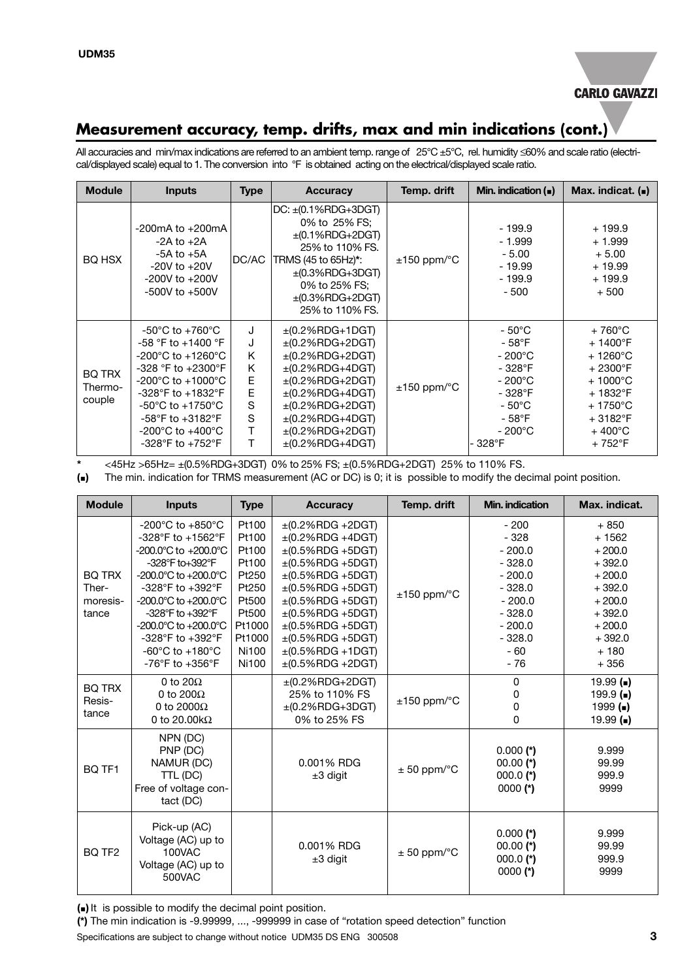

### **Measurement accuracy, temp. drifts, max and min indications (cont.)**

All accuracies and min/max indications are referred to an ambient temp. range of 25°C ±5°C, rel. humidity ≤60% and scale ratio (electrical/displayed scale) equal to 1. The conversion into °F is obtained acting on the electrical/displayed scale ratio.

| <b>Module</b>                      | <b>Inputs</b>                                                                                                                                                                                                                                                                                                                                                                   | <b>Type</b>                                    | <b>Accuracy</b>                                                                                                                                                                                                                              | Temp. drift                | Min. indication $($                                                                                                                                                          | Max. indicat. $($                                                                                                                                                                                       |
|------------------------------------|---------------------------------------------------------------------------------------------------------------------------------------------------------------------------------------------------------------------------------------------------------------------------------------------------------------------------------------------------------------------------------|------------------------------------------------|----------------------------------------------------------------------------------------------------------------------------------------------------------------------------------------------------------------------------------------------|----------------------------|------------------------------------------------------------------------------------------------------------------------------------------------------------------------------|---------------------------------------------------------------------------------------------------------------------------------------------------------------------------------------------------------|
| <b>BO HSX</b>                      | $-200$ mA to $+200$ mA<br>$-2A$ to $+2A$<br>$-5A$ to $+5A$<br>$-20V$ to $+20V$<br>$-200V$ to $+200V$<br>$-500V$ to $+500V$                                                                                                                                                                                                                                                      | DC/AC                                          | $DC: \pm (0.1\%RDG + 3DGT)$<br>0% to 25% FS:<br>$\pm (0.1\%$ RDG+2DGT)<br>25% to 110% FS.<br>TRMS (45 to 65Hz)*:<br>$\pm$ (0.3%RDG+3DGT)<br>0% to 25% FS:<br>$\pm$ (0.3%RDG+2DGT)<br>25% to 110% FS.                                         | $\pm 150$ ppm/ $\degree$ C | - 199.9<br>$-1.999$<br>$-5.00$<br>$-19.99$<br>$-199.9$<br>$-500$                                                                                                             | $+199.9$<br>$+1.999$<br>$+5.00$<br>$+19.99$<br>$+199.9$<br>$+500$                                                                                                                                       |
| <b>BQ TRX</b><br>Thermo-<br>couple | $-50^{\circ}$ C to $+760^{\circ}$ C<br>-58 $\degree$ F to +1400 $\degree$ F<br>$-200^{\circ}$ C to $+1260^{\circ}$ C<br>$-328$ °F to $+2300$ °F<br>$-200^{\circ}$ C to $+1000^{\circ}$ C<br>$-328^{\circ}$ F to $+1832^{\circ}$ F<br>$-50^{\circ}$ C to $+1750^{\circ}$ C<br>$-58^{\circ}$ F to $+3182^{\circ}$ F<br>-200 $^{\circ}$ C to +400 $^{\circ}$ C<br>-328°F to +752°F | J<br>J<br>K<br>K<br>E<br>E<br>S<br>S<br>Τ<br>т | $\pm$ (0.2%RDG+1DGT)<br>$\pm$ (0.2%RDG+2DGT)<br>$\pm$ (0.2%RDG+2DGT)<br>$\pm$ (0.2%RDG+4DGT)<br>$\pm$ (0.2%RDG+2DGT)<br>$\pm$ (0.2%RDG+4DGT)<br>$\pm$ (0.2%RDG+2DGT)<br>$\pm$ (0.2%RDG+4DGT)<br>$\pm$ (0.2%RDG+2DGT)<br>$\pm$ (0.2%RDG+4DGT) | $±150$ ppm/ $°C$           | $-50^{\circ}$ C<br>- 58°F<br>$-200^{\circ}$ C<br>$-328^{\circ}F$<br>$-200^{\circ}$ C<br>$-328^{\circ}F$<br>$-50^{\circ}$ C<br>$-58^{\circ}$ F<br>$-200^{\circ}$ C<br>- 328°F | $+760^{\circ}$ C<br>$+1400^{\circ}F$<br>$+1260^{\circ}$ C<br>$+2300^{\circ}$ F<br>$+1000^{\circ}$ C<br>$+1832^{\circ}F$<br>$+1750^{\circ}$ C<br>$+3182^{\circ}F$<br>$+400^{\circ}$ C<br>$+752^{\circ}F$ |

**\*** <45Hz >65Hz= ±(0.5%RDG+3DGT) 0% to 25% FS; ±(0.5%RDG+2DGT) 25% to 110% FS.

**(**<**)** The min. indication for TRMS measurement (AC or DC) is 0; it is possible to modify the decimal point position.

| <b>Module</b>                               | <b>Inputs</b>                                                                                                                                                                                                                                                                                                                                                                                                                                              | <b>Type</b>                                                                                                       | <b>Accuracy</b>                                                                                                                                                                                                                                                                                                | Temp. drift      | Min. indication                                                                                                                    | Max. indicat.                                                                                                                         |
|---------------------------------------------|------------------------------------------------------------------------------------------------------------------------------------------------------------------------------------------------------------------------------------------------------------------------------------------------------------------------------------------------------------------------------------------------------------------------------------------------------------|-------------------------------------------------------------------------------------------------------------------|----------------------------------------------------------------------------------------------------------------------------------------------------------------------------------------------------------------------------------------------------------------------------------------------------------------|------------------|------------------------------------------------------------------------------------------------------------------------------------|---------------------------------------------------------------------------------------------------------------------------------------|
| <b>BQ TRX</b><br>Ther-<br>moresis-<br>tance | -200 $^{\circ}$ C to +850 $^{\circ}$ C<br>$-328^{\circ}$ F to $+1562^{\circ}$ F<br>$-200.0^{\circ}$ C to $+200.0^{\circ}$ C<br>-328°F to+392°F<br>$-200.0^{\circ}$ C to $+200.0^{\circ}$ C<br>$-328^{\circ}$ F to $+392^{\circ}$ F<br>$-200.0^{\circ}$ C to $+200.0^{\circ}$ C<br>$-328^{\circ}$ F to $+392^{\circ}$ F<br>-200.0 $^{\circ}$ C to +200.0 $^{\circ}$ C<br>-328°F to $+392$ °F<br>-60 $^{\circ}$ C to +180 $^{\circ}$ C<br>-76°F to $+356$ °F | Pt100<br>Pt100<br>Pt100<br>Pt100<br>Pt250<br>Pt250<br>Pt500<br>Pt500<br>Pt1000<br>Pt1000<br><b>Ni100</b><br>Ni100 | $\pm$ (0.2%RDG +2DGT)<br>$\pm$ (0.2%RDG +4DGT)<br>$\pm$ (0.5%RDG +5DGT)<br>$\pm (0.5\%$ RDG +5DGT)<br>$\pm$ (0.5%RDG +5DGT)<br>$\pm$ (0.5%RDG +5DGT)<br>$\pm$ (0.5%RDG +5DGT)<br>$\pm$ (0.5%RDG +5DGT)<br>$\pm$ (0.5%RDG +5DGT)<br>$\pm$ (0.5%RDG +5DGT)<br>$\pm (0.5\%$ RDG +1DGT)<br>$\pm (0.5\%$ RDG +2DGT) | $±150$ ppm/ $°C$ | $-200$<br>$-328$<br>$-200.0$<br>$-328.0$<br>$-200.0$<br>$-328.0$<br>$-200.0$<br>$-328.0$<br>$-200.0$<br>$-328.0$<br>$-60$<br>$-76$ | $+850$<br>$+1562$<br>$+200.0$<br>$+392.0$<br>$+200.0$<br>$+392.0$<br>$+200.0$<br>$+392.0$<br>$+200.0$<br>$+392.0$<br>$+180$<br>$+356$ |
| <b>BQ TRX</b><br>Resis-<br>tance            | 0 to 20 $\Omega$<br>0 to 200 $\Omega$<br>0 to 2000 $\Omega$<br>0 to 20,00 $k\Omega$                                                                                                                                                                                                                                                                                                                                                                        |                                                                                                                   | $\pm$ (0.2%RDG+2DGT)<br>25% to 110% FS<br>$\pm$ (0.2%RDG+3DGT)<br>0% to 25% FS                                                                                                                                                                                                                                 | $±150$ ppm/ $°C$ | $\mathbf{0}$<br>0<br>0<br>0                                                                                                        | $19.99$ ( $\blacksquare$ )<br>$199.9$ ( $\blacksquare$ )<br>1999(<br>$19.99$ ( $\blacksquare$ )                                       |
| BQ TF1                                      | NPN (DC)<br>PNP (DC)<br>NAMUR (DC)<br>TTL (DC)<br>Free of voltage con-<br>tact (DC)                                                                                                                                                                                                                                                                                                                                                                        |                                                                                                                   | 0.001% RDG<br>$±3$ digit                                                                                                                                                                                                                                                                                       | $± 50$ ppm/ $°C$ | $0.000$ (*)<br>$00.00$ (*)<br>$000.0$ (*)<br>0000 $(*)$                                                                            | 9.999<br>99.99<br>999.9<br>9999                                                                                                       |
| BQ TF <sub>2</sub>                          | Pick-up (AC)<br>Voltage (AC) up to<br>100VAC<br>Voltage (AC) up to<br>500VAC                                                                                                                                                                                                                                                                                                                                                                               |                                                                                                                   | 0.001% RDG<br>$±3$ digit                                                                                                                                                                                                                                                                                       | $± 50$ ppm/ $°C$ | $0.000$ (*)<br>$00.00$ (*)<br>$000.0$ (*)<br>0000 $(*)$                                                                            | 9.999<br>99.99<br>999.9<br>9999                                                                                                       |

**(**<**)** It is possible to modify the decimal point position.

**(\*)** The min indication is -9.99999, ..., -999999 in case of "rotation speed detection" function

Specifications are subject to change without notice UDM35 DS ENG 300508 **3**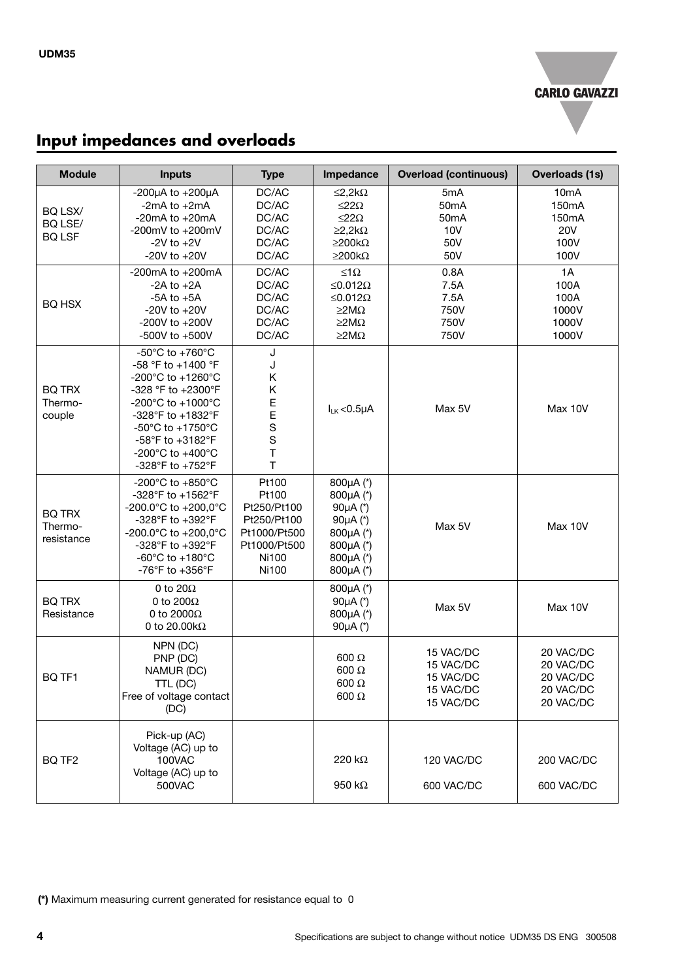

# **Input impedances and overloads**

| <b>Module</b>                          | <b>Inputs</b>                                                                                                                                                                                                                                                                                | <b>Type</b>                                                                                    | Impedance                                                                                                                  | <b>Overload (continuous)</b>                                       | <b>Overloads (1s)</b>                                             |
|----------------------------------------|----------------------------------------------------------------------------------------------------------------------------------------------------------------------------------------------------------------------------------------------------------------------------------------------|------------------------------------------------------------------------------------------------|----------------------------------------------------------------------------------------------------------------------------|--------------------------------------------------------------------|-------------------------------------------------------------------|
| BQ LSX/<br>BQ LSE/<br><b>BQ LSF</b>    | -200 $\mu$ A to +200 $\mu$ A<br>-2mA to +2mA<br>-20 $mA$ to $+20mA$<br>-200mV to +200mV<br>$-2V$ to $+2V$<br>-20V to $+20V$                                                                                                                                                                  | DC/AC<br>DC/AC<br>DC/AC<br>DC/AC<br>DC/AC<br>DC/AC                                             | ≤2,2kΩ<br>$\leq$ 22 $\Omega$<br>$\leq$ 22 $\Omega$<br>$\geq$ 2,2k $\Omega$<br>$\geq$ 200k $\Omega$<br>$\geq$ 200k $\Omega$ | 5mA<br>50 <sub>m</sub> A<br>50 <sub>m</sub> A<br>10V<br>50V<br>50V | 10 <sub>m</sub> A<br>150mA<br>150mA<br><b>20V</b><br>100V<br>100V |
| <b>BQ HSX</b>                          | -200 $mA$ to +200 $mA$<br>$-2A$ to $+2A$<br>$-5A$ to $+5A$<br>-20V to $+20V$<br>-200V to +200V<br>-500V to +500V                                                                                                                                                                             | DC/AC<br>DC/AC<br>DC/AC<br>DC/AC<br>DC/AC<br>DC/AC                                             | $≤1Ω$<br>≤0.012Ω<br>≤0.012Ω<br>$\geq$ M $\Omega$<br>$\geq$ M $\Omega$<br>$\geq$ M $\Omega$                                 | 0.8A<br>7.5A<br>7.5A<br>750V<br>750V<br>750V                       | 1A<br>100A<br>100A<br>1000V<br>1000V<br>1000V                     |
| <b>BQ TRX</b><br>Thermo-<br>couple     | -50 $\mathrm{^{\circ}C}$ to +760 $\mathrm{^{\circ}C}$<br>-58 °F to +1400 °F<br>-200°C to +1260°C<br>-328 °F to +2300°F<br>-200 $^{\circ}$ C to +1000 $^{\circ}$ C<br>-328°F to +1832°F<br>-50°C to +1750°C<br>-58°F to +3182°F<br>-200 $^{\circ}$ C to +400 $^{\circ}$ C<br>-328°F to +752°F | J<br>J<br>Κ<br>Κ<br>E<br>E<br>$\mathbf S$<br>S<br>T<br>T                                       | $I_{LK}$ <0.5 $\mu$ A                                                                                                      | Max 5V                                                             | Max 10V                                                           |
| <b>BQ TRX</b><br>Thermo-<br>resistance | -200°C to +850°C<br>-328°F to +1562°F<br>-200.0°C to +200,0°C<br>-328°F to +392°F<br>-200.0°C to +200,0°C<br>-328°F to +392°F<br>-60 $\degree$ C to +180 $\degree$ C<br>-76°F to $+356$ °F                                                                                                   | Pt100<br>Pt100<br>Pt250/Pt100<br>Pt250/Pt100<br>Pt1000/Pt500<br>Pt1000/Pt500<br>Ni100<br>Ni100 | 800µA (*)<br>800µA (*)<br>90 $\mu$ A (*)<br>90µA (*)<br>800µA (*)<br>800µA (*)<br>800µA (*)<br>800µA (*)                   | Max 5V                                                             | Max 10V                                                           |
| <b>BO TRX</b><br>Resistance            | 0 to $20\Omega$<br>0 to $200\Omega$<br>0 to 2000 $\Omega$<br>0 to 20.00 $k\Omega$                                                                                                                                                                                                            |                                                                                                | 800µA (*)<br>90 $\mu$ A (*)<br>800µA (*)<br>90 $\mu$ A (*)                                                                 | Max 5V                                                             | Max 10V                                                           |
| BQ TF1                                 | NPN (DC)<br>PNP (DC)<br>NAMUR (DC)<br>TTL (DC)<br>Free of voltage contact<br>(DC)                                                                                                                                                                                                            |                                                                                                | $600 \Omega$<br>600 $\Omega$<br>600 $\Omega$<br>$600 \Omega$                                                               | 15 VAC/DC<br>15 VAC/DC<br>15 VAC/DC<br>15 VAC/DC<br>15 VAC/DC      | 20 VAC/DC<br>20 VAC/DC<br>20 VAC/DC<br>20 VAC/DC<br>20 VAC/DC     |
| BQ TF <sub>2</sub>                     | Pick-up (AC)<br>Voltage (AC) up to<br>100VAC<br>Voltage (AC) up to<br>500VAC                                                                                                                                                                                                                 |                                                                                                | 220 kΩ<br>950 k $\Omega$                                                                                                   | 120 VAC/DC<br>600 VAC/DC                                           | 200 VAC/DC<br>600 VAC/DC                                          |

**(\*)** Maximum measuring current generated for resistance equal to 0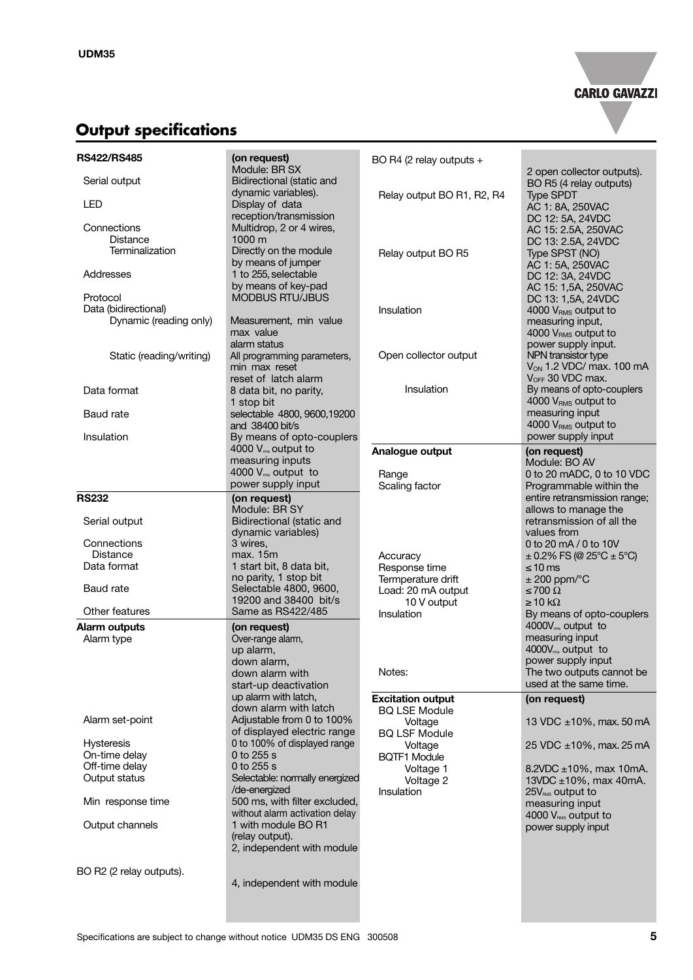

# **Output specifications**

| <b>RS422/RS485</b>              | (on request)<br>Module: BR SX                         | BO R4 (2 relay outputs +   | 2 open collector outputs).                                           |
|---------------------------------|-------------------------------------------------------|----------------------------|----------------------------------------------------------------------|
| Serial output                   | Bidirectional (static and<br>dynamic variables).      | Relay output BO R1, R2, R4 | BO R5 (4 relay outputs)<br><b>Type SPDT</b>                          |
| LED                             | Display of data<br>reception/transmission             |                            | AC 1: 8A, 250VAC<br>DC 12: 5A, 24VDC                                 |
| Connections                     | Multidrop, 2 or 4 wires,                              |                            | AC 15: 2.5A, 250VAC                                                  |
| <b>Distance</b>                 | 1000 m                                                |                            | DC 13: 2.5A, 24VDC                                                   |
| Terminalization                 | Directly on the module                                | Relay output BO R5         | Type SPST (NO)                                                       |
| Addresses                       | by means of jumper<br>1 to 255, selectable            |                            | AC 1:5A, 250VAC<br>DC 12: 3A, 24VDC                                  |
|                                 | by means of key-pad                                   |                            | AC 15: 1,5A, 250VAC                                                  |
| Protocol                        | MODBUS RTU/JBUS                                       |                            | DC 13: 1,5A, 24VDC                                                   |
| Data (bidirectional)            |                                                       | Insulation                 | 4000 V <sub>RMS</sub> output to                                      |
| Dynamic (reading only)          | Measurement, min value<br>max value                   |                            | measuring input,<br>4000 VRMS output to                              |
| Static (reading/writing)        | alarm status<br>All programming parameters,           | Open collector output      | power supply input.<br>NPN transistor type                           |
|                                 | min max reset<br>reset of latch alarm                 |                            | V <sub>ON</sub> 1.2 VDC/ max. 100 mA<br>V <sub>OFF</sub> 30 VDC max. |
| Data format                     | 8 data bit, no parity,                                | Insulation                 | By means of opto-couplers                                            |
|                                 | 1 stop bit                                            |                            | 4000 V <sub>RMS</sub> output to                                      |
| <b>Baud</b> rate                | selectable 4800, 9600, 19200                          |                            | measuring input                                                      |
|                                 | and 38400 bit/s                                       |                            | 4000 V <sub>RMS</sub> output to                                      |
| Insulation                      | By means of opto-couplers                             |                            | power supply input                                                   |
|                                 | 4000 V <sub>ms</sub> output to                        | Analogue output            | (on request)                                                         |
|                                 | measuring inputs                                      |                            | Module: BO AV                                                        |
|                                 | 4000 V <sub>ms</sub> output to                        | Range                      | 0 to 20 mADC, 0 to 10 VDC                                            |
|                                 | power supply input                                    | Scaling factor             | Programmable within the                                              |
| <b>RS232</b>                    | (on request)                                          |                            | entire retransmission range;                                         |
|                                 | Module: BR SY                                         |                            | allows to manage the                                                 |
| Serial output                   | Bidirectional (static and<br>dynamic variables)       |                            | retransmission of all the<br>values from                             |
| Connections                     | 3 wires.                                              |                            | 0 to 20 mA / 0 to 10V                                                |
| Distance                        | max. 15m                                              | Accuracy                   | $\pm$ 0.2% FS (@ 25°C $\pm$ 5°C)                                     |
| Data format                     | 1 start bit, 8 data bit,                              | Response time              | $\leq 10$ ms                                                         |
|                                 | no parity, 1 stop bit                                 | Termperature drift         | $\pm$ 200 ppm/°C                                                     |
| <b>Baud</b> rate                | Selectable 4800, 9600,                                | Load: 20 mA output         | ≤ 700 Ω                                                              |
|                                 | 19200 and 38400 bit/s                                 | 10 V output                | $\geq$ 10 k $\Omega$                                                 |
| Other features                  | Same as RS422/485                                     | Insulation                 | By means of opto-couplers                                            |
| Alarm outputs                   | (on request)                                          |                            | 4000V <sub>ms</sub> output to                                        |
| Alarm type                      | Over-range alarm,                                     |                            | measuring input                                                      |
|                                 | up alarm,                                             |                            | 4000V <sub>ms</sub> output to                                        |
|                                 | down alarm,<br>down alarm with                        | Notes:                     | power supply input                                                   |
|                                 | start-up deactivation                                 |                            | The two outputs cannot be<br>used at the same time.                  |
|                                 | up alarm with latch,                                  | <b>Excitation output</b>   | (on request)                                                         |
|                                 | down alarm with latch                                 | <b>BQ LSE Module</b>       |                                                                      |
| Alarm set-point                 | Adjustable from 0 to 100%                             | Voltage                    | 13 VDC $\pm$ 10%, max. 50 mA                                         |
|                                 | of displayed electric range                           | <b>BQ LSF Module</b>       |                                                                      |
| <b>Hysteresis</b>               | 0 to 100% of displayed range                          | Voltage                    | 25 VDC ±10%, max. 25 mA                                              |
| On-time delay                   | 0 to 255 s<br>0 to 255 s                              | <b>BQTF1 Module</b>        |                                                                      |
| Off-time delay<br>Output status | Selectable: normally energized                        | Voltage 1                  | 8.2VDC ±10%, max 10mA.                                               |
|                                 | /de-energized                                         | Voltage 2                  | 13VDC $\pm$ 10%, max 40mA.                                           |
| Min response time               | 500 ms, with filter excluded,                         | <b>Insulation</b>          | 25V <sub>RMS</sub> output to<br>measuring input                      |
|                                 |                                                       |                            | 4000 VRMs output to                                                  |
| Output channels                 |                                                       |                            |                                                                      |
|                                 | without alarm activation delay<br>1 with module BO R1 |                            |                                                                      |
|                                 | (relay output).                                       |                            | power supply input                                                   |
|                                 | 2, independent with module                            |                            |                                                                      |
|                                 |                                                       |                            |                                                                      |
| BO R2 (2 relay outputs).        |                                                       |                            |                                                                      |
|                                 | 4, independent with module                            |                            |                                                                      |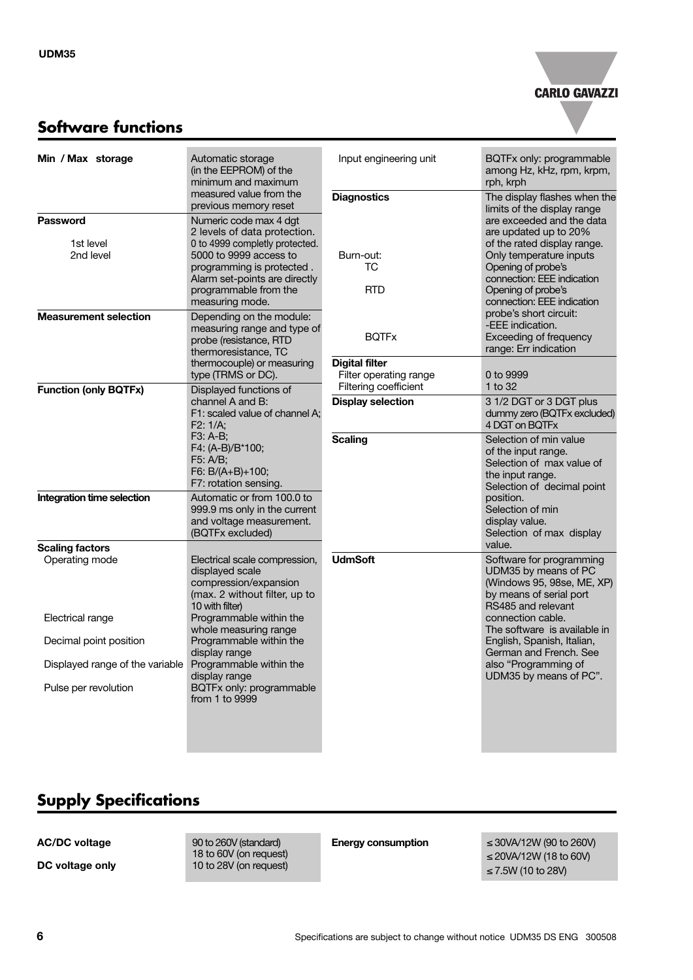

### **Software functions**

| Min / Max storage                         | Automatic storage<br>(in the EEPROM) of the<br>minimum and maximum                                                                                                                                                           | Input engineering unit                          | BQTFx only: programmable<br>among Hz, kHz, rpm, krpm,<br>rph, krph                                                                                                                                                                                  |  |
|-------------------------------------------|------------------------------------------------------------------------------------------------------------------------------------------------------------------------------------------------------------------------------|-------------------------------------------------|-----------------------------------------------------------------------------------------------------------------------------------------------------------------------------------------------------------------------------------------------------|--|
|                                           | measured value from the<br>previous memory reset                                                                                                                                                                             | <b>Diagnostics</b>                              | The display flashes when the                                                                                                                                                                                                                        |  |
| <b>Password</b><br>1st level<br>2nd level | Numeric code max 4 dgt<br>2 levels of data protection.<br>0 to 4999 completly protected.<br>5000 to 9999 access to<br>programming is protected.<br>Alarm set-points are directly<br>programmable from the<br>measuring mode. | Burn-out:<br>ТC<br><b>RTD</b>                   | limits of the display range<br>are exceeded and the data<br>are updated up to 20%<br>of the rated display range.<br>Only temperature inputs<br>Opening of probe's<br>connection: EEE indication<br>Opening of probe's<br>connection: EEE indication |  |
| <b>Measurement selection</b>              | Depending on the module:<br>measuring range and type of<br>probe (resistance, RTD<br>thermoresistance, TC                                                                                                                    | <b>BQTFx</b>                                    | probe's short circuit:<br>-EEE indication.<br><b>Exceeding of frequency</b><br>range: Err indication                                                                                                                                                |  |
|                                           | thermocouple) or measuring                                                                                                                                                                                                   | <b>Digital filter</b>                           |                                                                                                                                                                                                                                                     |  |
| <b>Function (only BQTFx)</b>              | type (TRMS or DC).<br>Displayed functions of                                                                                                                                                                                 | Filter operating range<br>Filtering coefficient | 0 to 9999<br>1 to 32                                                                                                                                                                                                                                |  |
|                                           | channel A and B:<br>F1: scaled value of channel A:<br>F2: 1/A:<br>F3: A-B:<br>F4: (A-B)/B*100;<br>F5: A/B;<br>F6: B/(A+B)+100;<br>F7: rotation sensing.                                                                      | <b>Display selection</b>                        | 3 1/2 DGT or 3 DGT plus<br>dummy zero (BQTFx excluded)<br>4 DGT on BQTFx                                                                                                                                                                            |  |
|                                           |                                                                                                                                                                                                                              | <b>Scaling</b>                                  | Selection of min value<br>of the input range.<br>Selection of max value of<br>the input range.<br>Selection of decimal point                                                                                                                        |  |
| Integration time selection                | Automatic or from 100.0 to<br>999.9 ms only in the current<br>and voltage measurement.<br>(BQTFx excluded)                                                                                                                   |                                                 | position.<br>Selection of min<br>display value.<br>Selection of max display<br>value.                                                                                                                                                               |  |
| <b>Scaling factors</b><br>Operating mode  | Electrical scale compression,<br>displayed scale<br>compression/expansion<br>(max. 2 without filter, up to<br>10 with filter)                                                                                                | <b>UdmSoft</b>                                  | Software for programming<br>UDM35 by means of PC<br>(Windows 95, 98se, ME, XP)<br>by means of serial port<br>RS485 and relevant                                                                                                                     |  |
| Electrical range                          | Programmable within the<br>whole measuring range                                                                                                                                                                             |                                                 | connection cable.<br>The software is available in                                                                                                                                                                                                   |  |
| Decimal point position                    | Programmable within the<br>display range                                                                                                                                                                                     |                                                 | English, Spanish, Italian,<br>German and French. See                                                                                                                                                                                                |  |
| Displayed range of the variable           | Programmable within the<br>display range                                                                                                                                                                                     |                                                 | also "Programming of<br>UDM35 by means of PC".                                                                                                                                                                                                      |  |
| Pulse per revolution                      | BQTFx only: programmable<br>from 1 to 9999                                                                                                                                                                                   |                                                 |                                                                                                                                                                                                                                                     |  |

# **Supply Specifications**

**AC/DC voltage** 90 to 260V (standard)

18 to 60V (on request) **DC voltage only 10** to 28V (on request)

**Energy consumption** ≤ 30VA/12W (90 to 260V) ≤ 20VA/12W (18 to 60V) ≤ 7.5W (10 to 28V)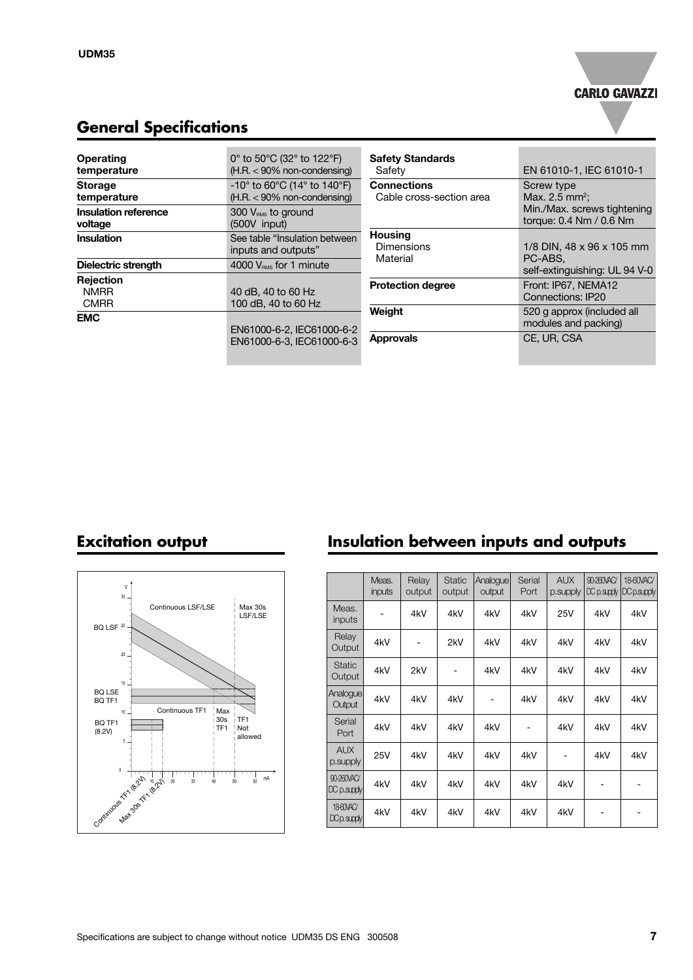

# **General Specifications**

| Operating<br>temperature                       | 0 $^{\circ}$ to 50 $^{\circ}$ C (32 $^{\circ}$ to 122 $^{\circ}$ F)<br>$(H.R. < 90\%$ non-condensing) | <b>Safety Standards</b><br>Safety              | EN 61010-1, IEC 61010-1                                |  |
|------------------------------------------------|-------------------------------------------------------------------------------------------------------|------------------------------------------------|--------------------------------------------------------|--|
| <b>Storage</b><br>temperature                  | $-10^{\circ}$ to 60°C (14° to 140°F)<br>$(H.R. < 90\%$ non-condensing)                                | <b>Connections</b><br>Cable cross-section area | Screw type<br>Max. 2.5 mm <sup>2</sup> ;               |  |
| Insulation reference<br>voltage                | $300$ $V_{RMS}$ to ground<br>$(500V$ input)                                                           |                                                | Min./Max. screws tightening<br>torque: 0.4 Nm / 0.6 Nm |  |
| Insulation                                     | See table "Insulation between"<br>inputs and outputs"                                                 | <b>Housing</b><br><b>Dimensions</b>            | 1/8 DIN, 48 x 96 x 105 mm                              |  |
| Dielectric strength                            | 4000 $V_{\text{RMS}}$ for 1 minute                                                                    | Material                                       | PC-ABS,<br>self-extinguishing: UL 94 V-0               |  |
| <b>Rejection</b><br><b>NMRR</b><br><b>CMRR</b> | 40 dB, 40 to 60 Hz<br>100 dB, 40 to 60 Hz                                                             | <b>Protection degree</b>                       | Front: IP67, NEMA12<br>Connections: IP20               |  |
| <b>EMC</b>                                     |                                                                                                       | Weight                                         | 520 g approx (included all<br>modules and packing)     |  |
|                                                | EN61000-6-2, IEC61000-6-2<br>EN61000-6-3. IEC61000-6-3                                                | <b>Approvals</b>                               | CE, UR, CSA                                            |  |



### **Excitation output Insulation between inputs and outputs**

|                                         | Meas.<br>inputs | Relay<br>output | <b>Static</b><br>output | Analogue<br>output | Serial<br>Port | <b>AUX</b><br>p.supply | 90-260VAC/<br>$DC$ $p$ . supply | 18-60VAC/<br>DC p.supply |
|-----------------------------------------|-----------------|-----------------|-------------------------|--------------------|----------------|------------------------|---------------------------------|--------------------------|
| Meas.<br>inputs                         |                 | 4kV             | 4kV                     | 4kV                | 4kV            | 25V                    | 4kV                             | 4kV                      |
| Relay<br>Output                         | 4kV             |                 | 2kV                     | 4kV                | 4kV            | 4kV                    | 4kV                             | 4kV                      |
| <b>Static</b><br>Output                 | 4kV             | 2kV             |                         | 4kV                | 4kV            | 4kV                    | 4kV                             | 4kV                      |
| Analogue<br>Output                      | 4kV             | 4kV             | 4kV                     |                    | 4kV            | 4kV                    | 4kV                             | 4kV                      |
| Serial<br>Port                          | 4kV             | 4kV             | 4kV                     | 4kV                |                | 4kV                    | 4kV                             | 4kV                      |
| <b>AUX</b><br>p.supply                  | <b>25V</b>      | 4kV             | 4kV                     | 4kV                | 4kV            |                        | 4kV                             | 4kV                      |
| 90-260VAC/<br>$DC$ $p$ $\alpha$ $p$ $q$ | 4kV             | 4kV             | 4kV                     | 4kV                | 4kV            | 4kV                    |                                 | $\overline{\phantom{0}}$ |
| 18-60VAC/<br>$DCD$ , supply             | 4kV             | 4kV             | 4kV                     | 4kV                | 4kV            | 4kV                    |                                 | -                        |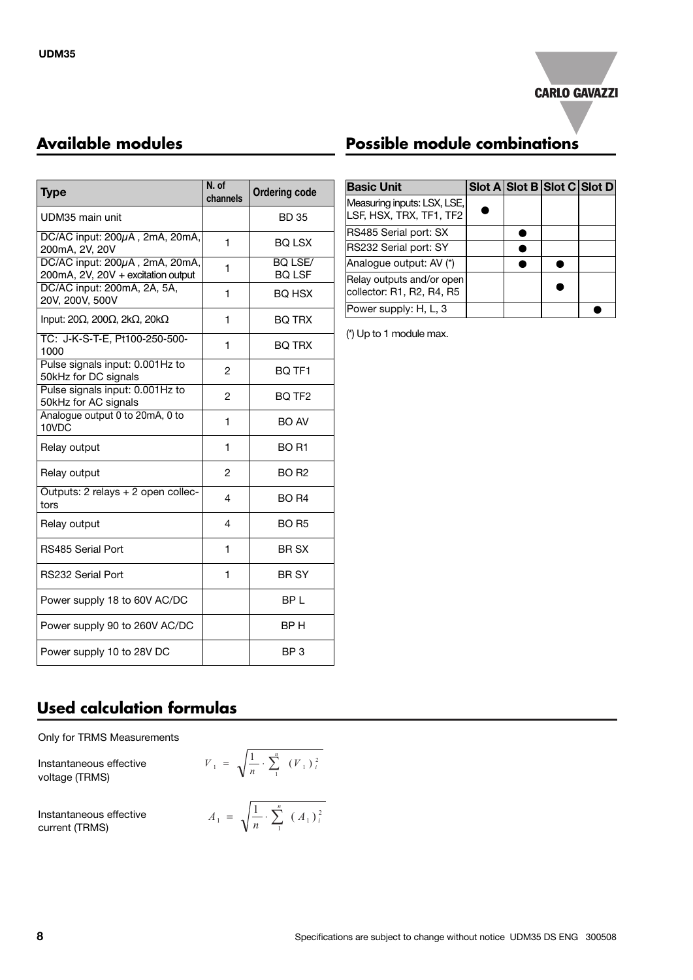

| <b>Type</b>                                                          | N. of<br>channels | <b>Ordering code</b>            |
|----------------------------------------------------------------------|-------------------|---------------------------------|
| UDM35 main unit                                                      |                   | <b>BD35</b>                     |
| $DC/AC$ input: $200\mu A$ , $2mA$ , $20mA$ ,<br>200mA, 2V, 20V       | 1                 | <b>BO LSX</b>                   |
| DC/AC input: 200µA, 2mA, 20mA,<br>200mA, 2V, 20V + excitation output | 1                 | <b>BQ LSE/</b><br><b>BQ LSF</b> |
| DC/AC input: 200mA, 2A, 5A,<br>20V, 200V, 500V                       | 1                 | <b>BQ HSX</b>                   |
| Input: 20Ω, 200Ω, 2kΩ, 20kΩ                                          | 1                 | <b>BO TRX</b>                   |
| TC: J-K-S-T-E, Pt100-250-500-<br>1000                                | 1                 | <b>BQ TRX</b>                   |
| Pulse signals input: 0.001Hz to<br>50kHz for DC signals              | 2                 | BQ TF1                          |
| Pulse signals input: 0.001Hz to<br>50kHz for AC signals              | $\overline{2}$    | BO TF <sub>2</sub>              |
| Analogue output 0 to 20mA, 0 to<br>10VDC                             | 1                 | <b>BO AV</b>                    |
| Relay output                                                         | 1                 | <b>BO R1</b>                    |
| Relay output                                                         | 2                 | <b>BO R2</b>                    |
| Outputs: 2 relays + 2 open collec-<br>tors                           | 4                 | BO R4                           |
| Relay output                                                         | 4                 | <b>BO R5</b>                    |
| RS485 Serial Port                                                    | 1                 | <b>BR SX</b>                    |
| RS232 Serial Port                                                    | 1                 | <b>BRSY</b>                     |
| Power supply 18 to 60V AC/DC                                         |                   | BP L                            |
| Power supply 90 to 260V AC/DC                                        |                   | BP H                            |
| Power supply 10 to 28V DC                                            |                   | BP <sub>3</sub>                 |

### **Available modules Possible module combinations**

| <b>Basic Unit</b>                                      | Slot A Slot B Slot C Slot D |  |
|--------------------------------------------------------|-----------------------------|--|
| Measuring inputs: LSX, LSE,<br>LSF, HSX, TRX, TF1, TF2 |                             |  |
| RS485 Serial port: SX                                  |                             |  |
| RS232 Serial port: SY                                  |                             |  |
| Analogue output: AV (*)                                |                             |  |
| Relay outputs and/or open<br>collector: R1, R2, R4, R5 |                             |  |
| Power supply: H, L, 3                                  |                             |  |

(\*) Up to 1 module max.

### **Used calculation formulas**

Only for TRMS Measurements

Instantaneous effective voltage (TRMS)

Instantaneous effective current (TRMS)

$$
V_1 = \sqrt{\frac{1}{n} \cdot \sum_{1}^{n} (V_1)^2}
$$

$$
A_1 = \sqrt{\frac{1}{n} \cdot \sum_{1}^{n} (A_1)^2}
$$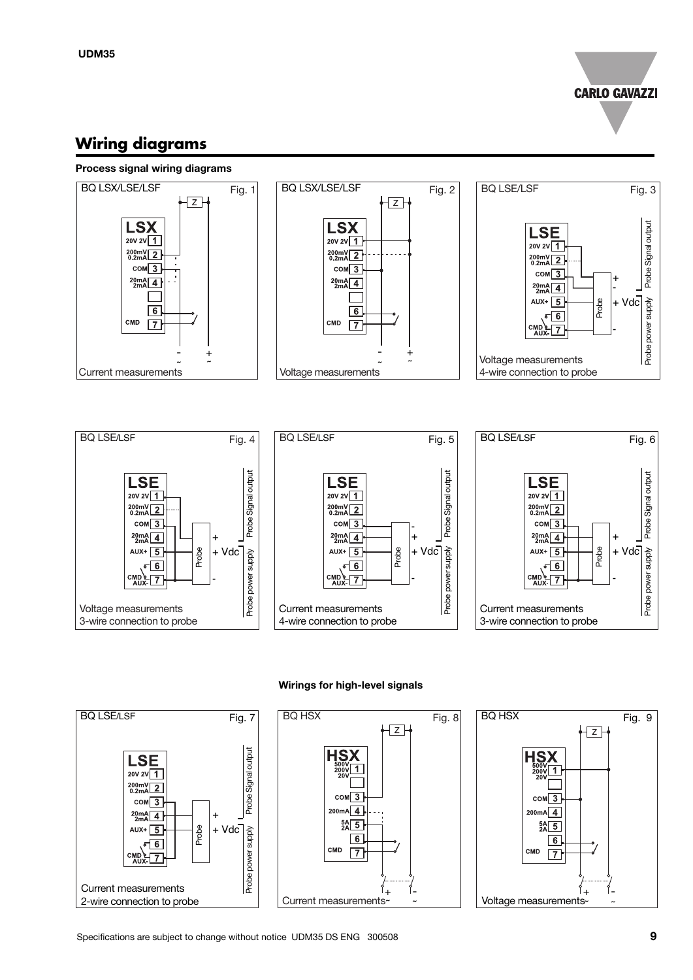

### **Wiring diagrams**

#### **Process signal wiring diagrams**



Probe power supply Probe Signal output Probe  $AUX + 5$ + Vdc Probe power supply  $\sigma$ <sup>6</sup>  $CMD$  $CMD$ - Voltage measurements 3-wire connection to probe





#### **Wirings for high-level signals**

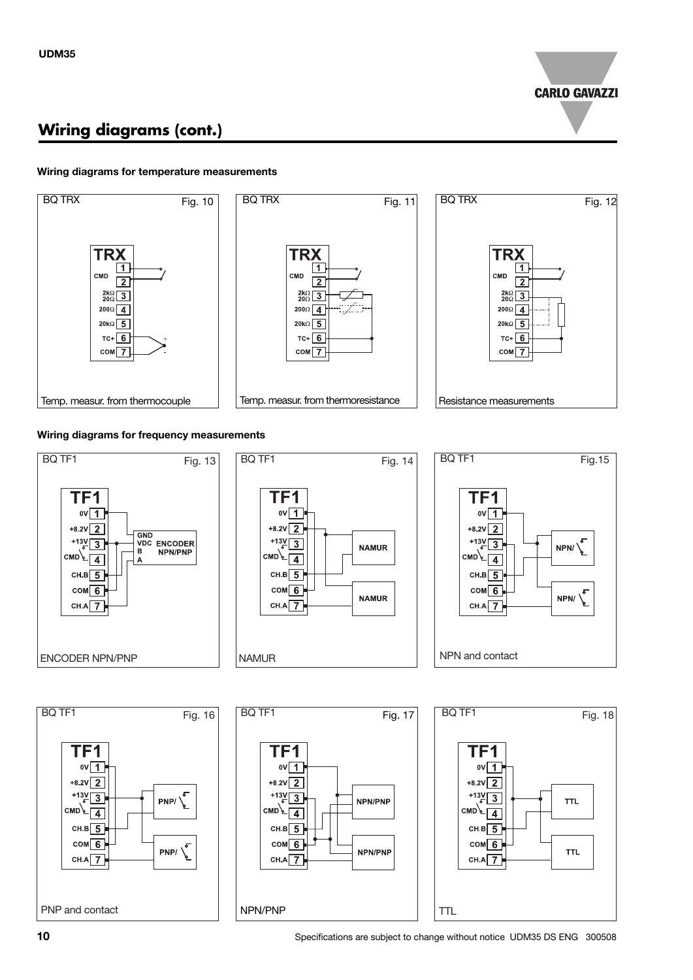

## **Wiring diagrams (cont.)**

#### **Wiring diagrams for temperature measurements**



#### **Wiring diagrams for frequency measurements**



**10** Specifications are subject to change without notice UDM35 DS ENG 300508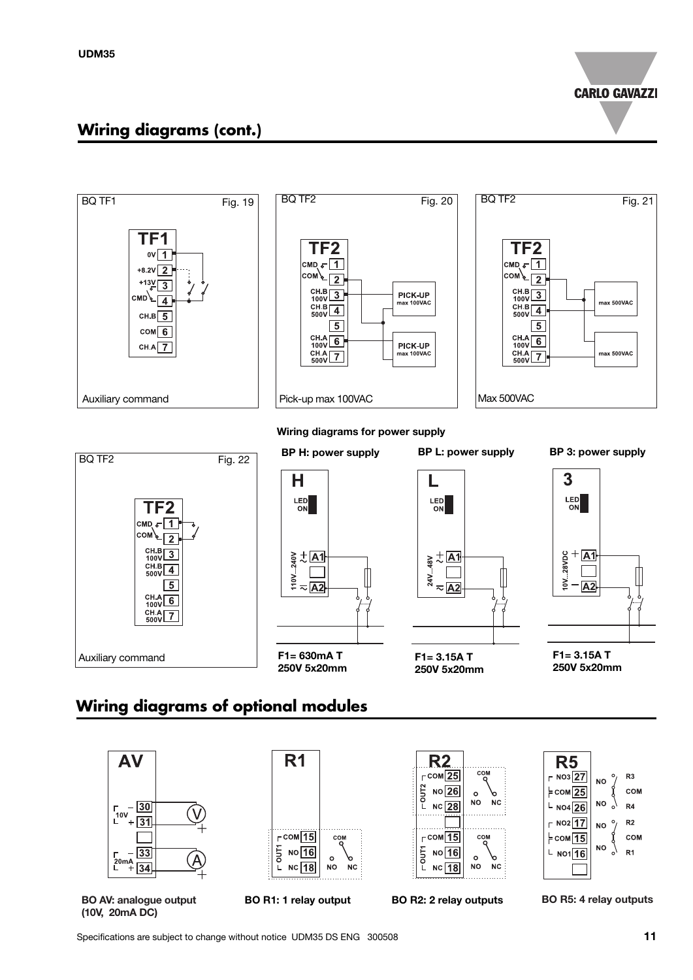**CARLO GAVAZZI** 

### **Wiring diagrams (cont.)**



### **Wiring diagrams of optional modules**





**BO R5: 4 relay outputs**

Specifications are subject to change without notice UDM35 DS ENG 300508 **11**

**(10V, 20mA DC)**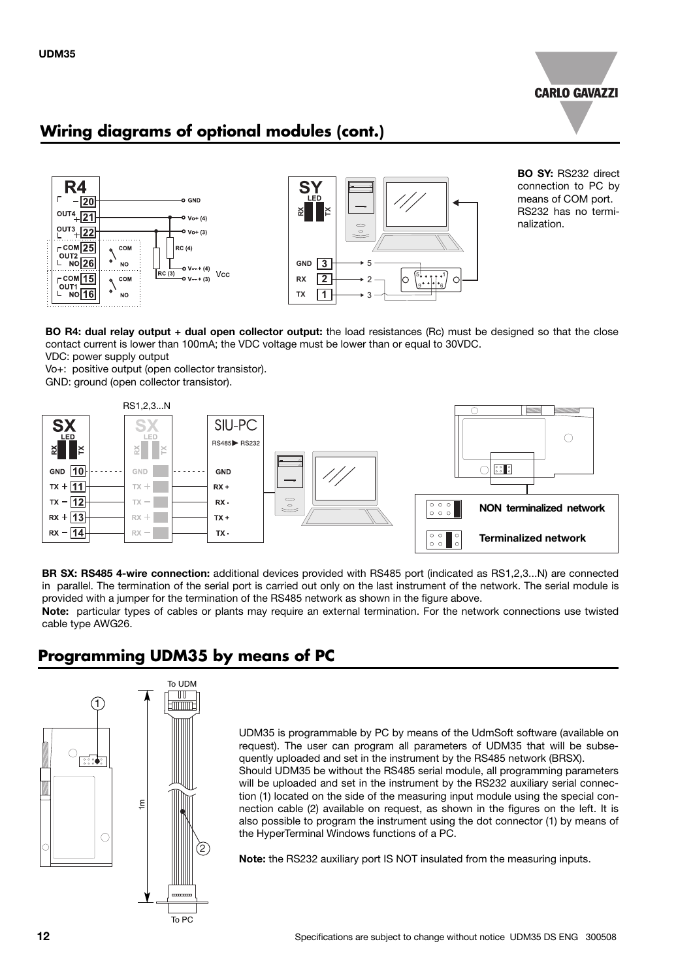

## **Wiring diagrams of optional modules (cont.)**





**BO SY:** RS232 direct connection to PC by means of COM port. RS232 has no terminalization.

**BO R4: dual relay output + dual open collector output:** the load resistances (Rc) must be designed so that the close contact current is lower than 100mA; the VDC voltage must be lower than or equal to 30VDC.

VDC: power supply output

Vo+: positive output (open collector transistor). GND: ground (open collector transistor).



**BR SX: RS485 4-wire connection:** additional devices provided with RS485 port (indicated as RS1,2,3...N) are connected in parallel. The termination of the serial port is carried out only on the last instrument of the network. The serial module is provided with a jumper for the termination of the RS485 network as shown in the figure above.

**Note:** particular types of cables or plants may require an external termination. For the network connections use twisted cable type AWG26.

### **Programming UDM35 by means of PC**



UDM35 is programmable by PC by means of the UdmSoft software (available on request). The user can program all parameters of UDM35 that will be subsequently uploaded and set in the instrument by the RS485 network (BRSX). Should UDM35 be without the RS485 serial module, all programming parameters will be uploaded and set in the instrument by the RS232 auxiliary serial connection (1) located on the side of the measuring input module using the special connection cable (2) available on request, as shown in the figures on the left. It is also possible to program the instrument using the dot connector (1) by means of the HyperTerminal Windows functions of a PC.

**Note:** the RS232 auxiliary port IS NOT insulated from the measuring inputs.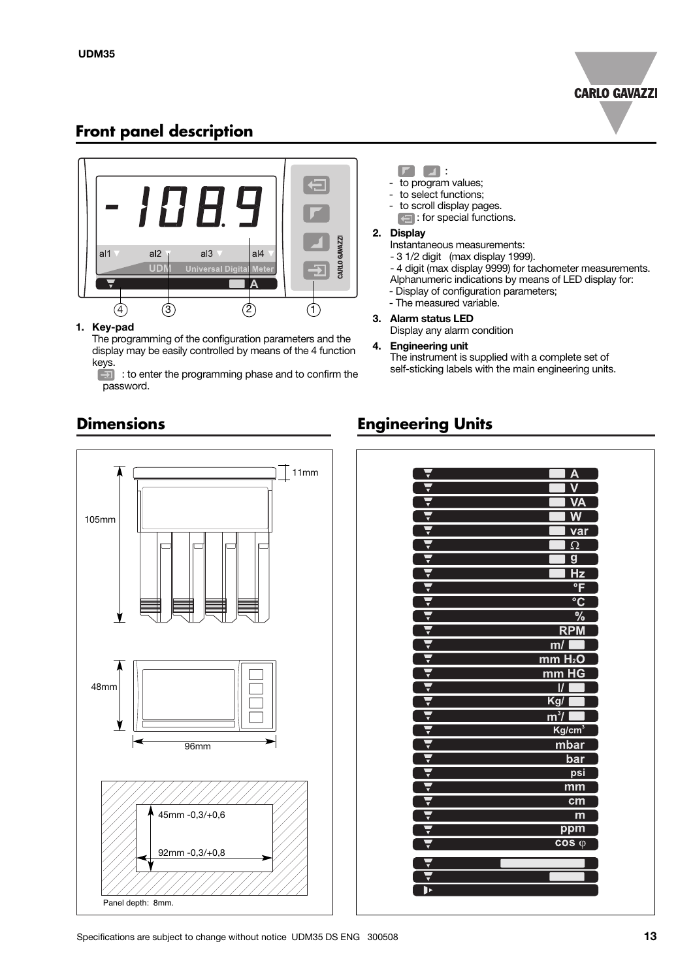

### **Front panel description**



#### **1. Key-pad**

The programming of the configuration parameters and the display may be easily controlled by means of the 4 function keys.

: to enter the programming phase and to confirm the  $\overline{\mathbf{E}}$ password.

#### $\boxed{r}$   $\boxed{4}$  :

- to program values;
- to select functions;
- to scroll display pages.
- for special functions.

### **2. Display**

- Instantaneous measurements:
- 3 1/2 digit (max display 1999).
- 4 digit (max display 9999) for tachometer measurements.
- Alphanumeric indications by means of LED display for:
- Display of configuration parameters;
- The measured variable.

#### **3. Alarm status LED**

Display any alarm condition

**4. Engineering unit**

The instrument is supplied with a complete set of self-sticking labels with the main engineering units.

### **Dimensions**

# **Engineering Units**